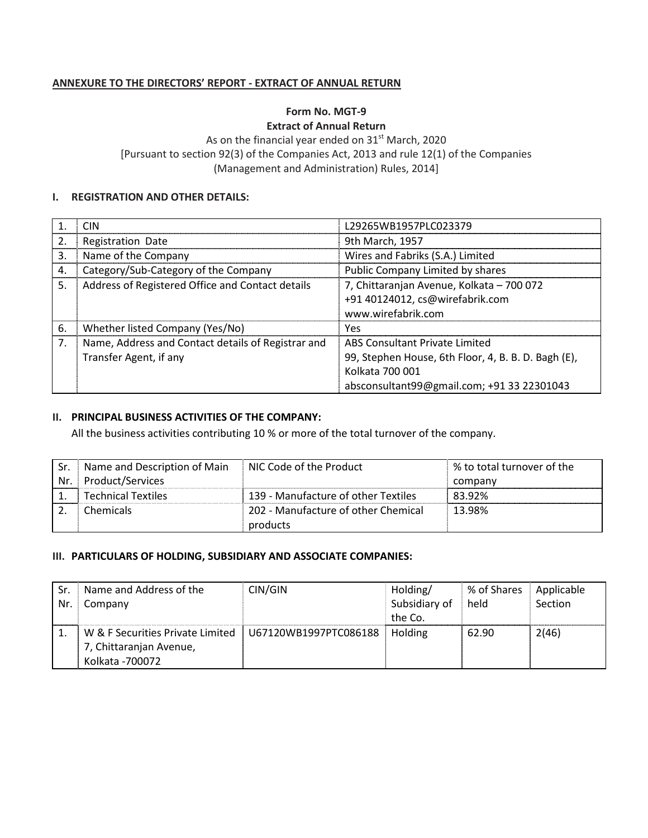## ANNEXURE TO THE DIRECTORS' REPORT - EXTRACT OF ANNUAL RETURN

# Form No. MGT-9

Extract of Annual Return

As on the financial year ended on  $31<sup>st</sup>$  March, 2020 [Pursuant to section 92(3) of the Companies Act, 2013 and rule 12(1) of the Companies (Management and Administration) Rules, 2014]

#### I. REGISTRATION AND OTHER DETAILS:

|     | CIN                                                | L29265WB1957PLC023379                               |
|-----|----------------------------------------------------|-----------------------------------------------------|
| 2.  | Registration Date                                  | 9th March, 1957                                     |
| 3.  | Name of the Company                                | Wires and Fabriks (S.A.) Limited                    |
| 4.  | Category/Sub-Category of the Company               | Public Company Limited by shares                    |
| .5. | Address of Registered Office and Contact details   | 7, Chittaranjan Avenue, Kolkata - 700 072           |
|     |                                                    | +91 40124012, cs@wirefabrik.com                     |
|     |                                                    | www.wirefabrik.com                                  |
| 6.  | Whether listed Company (Yes/No)                    | Yes                                                 |
| 7.  | Name, Address and Contact details of Registrar and | <b>ABS Consultant Private Limited</b>               |
|     | Transfer Agent, if any                             | 99, Stephen House, 6th Floor, 4, B. B. D. Bagh (E), |
|     |                                                    | Kolkata 700 001                                     |
|     |                                                    | absconsultant99@gmail.com; +91 33 22301043          |

### II. PRINCIPAL BUSINESS ACTIVITIES OF THE COMPANY:

All the business activities contributing 10 % or more of the total turnover of the company.

| -Sr. | Name and Description of Main | NIC Code of the Product             | % to total turnover of the |
|------|------------------------------|-------------------------------------|----------------------------|
| Nr.  | Product/Services             |                                     | company                    |
|      | <b>Technical Textiles</b>    | 139 - Manufacture of other Textiles | 83.92%                     |
|      | Chemicals                    | 202 - Manufacture of other Chemical | 13.98%                     |
|      |                              | products                            |                            |

#### III. PARTICULARS OF HOLDING, SUBSIDIARY AND ASSOCIATE COMPANIES:

| Sr. | Name and Address of the          | CIN/GIN               | Holding/      | % of Shares | Applicable |
|-----|----------------------------------|-----------------------|---------------|-------------|------------|
| Nr. | Company                          |                       | Subsidiary of | held        | Section    |
|     |                                  |                       | the Co.       |             |            |
|     | W & F Securities Private Limited | U67120WB1997PTC086188 | Holding       | 62.90       | 2(46)      |
|     | 7, Chittaranjan Avenue,          |                       |               |             |            |
|     | Kolkata - 700072                 |                       |               |             |            |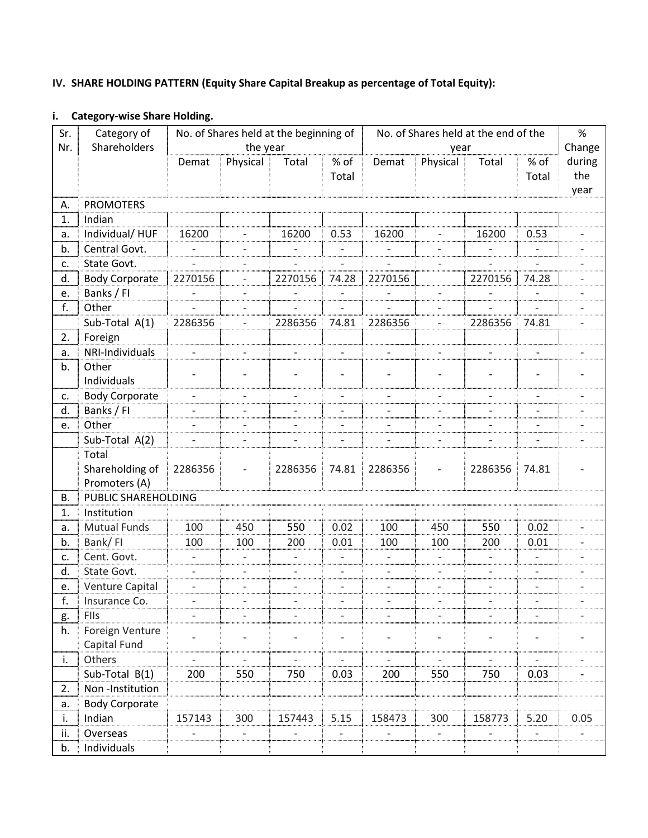# IV. SHARE HOLDING PATTERN (Equity Share Capital Breakup as percentage of Total Equity):

# i. Category-wise Share Holding.

| Sr.                                                 | Category of                                                                                                                                                                                             | No. of Shares held at the beginning of |                          | No. of Shares held at the end of the |                              |                          |                          | $\%$                     |                          |        |
|-----------------------------------------------------|---------------------------------------------------------------------------------------------------------------------------------------------------------------------------------------------------------|----------------------------------------|--------------------------|--------------------------------------|------------------------------|--------------------------|--------------------------|--------------------------|--------------------------|--------|
| Nr.                                                 | Shareholders                                                                                                                                                                                            |                                        | the year                 |                                      |                              |                          | year                     |                          |                          | Change |
|                                                     |                                                                                                                                                                                                         | Demat                                  | Physical                 | Total                                | % of                         | Demat                    | Physical                 | Total                    | % of                     | during |
|                                                     |                                                                                                                                                                                                         |                                        |                          |                                      | Total                        |                          |                          |                          | Total                    | the    |
|                                                     |                                                                                                                                                                                                         |                                        |                          |                                      |                              |                          |                          |                          |                          | year   |
| А.                                                  | <b>PROMOTERS</b>                                                                                                                                                                                        |                                        |                          |                                      |                              |                          |                          |                          |                          |        |
| 1.                                                  | Indian                                                                                                                                                                                                  |                                        |                          |                                      |                              |                          |                          |                          |                          |        |
| а.                                                  | Individual/HUF                                                                                                                                                                                          | 16200                                  |                          | 16200                                | 0.53                         | 16200                    |                          | 16200                    | 0.53                     |        |
| b.                                                  | Central Govt.                                                                                                                                                                                           |                                        |                          |                                      |                              |                          |                          |                          |                          |        |
| c.                                                  | State Govt.                                                                                                                                                                                             | $\overline{\phantom{a}}$               |                          |                                      | $\overline{a}$               | $\overline{a}$           |                          |                          |                          |        |
| d.                                                  | <b>Body Corporate</b>                                                                                                                                                                                   | 2270156                                | $\overline{\phantom{a}}$ | 2270156                              | 74.28                        | 2270156                  |                          | 2270156                  | 74.28                    |        |
| e.                                                  | Banks / FI                                                                                                                                                                                              |                                        | $\overline{a}$           |                                      | $\qquad \qquad \blacksquare$ |                          |                          |                          |                          |        |
| f.                                                  | Other                                                                                                                                                                                                   |                                        |                          |                                      |                              |                          |                          |                          |                          |        |
|                                                     | Sub-Total A(1)                                                                                                                                                                                          | 2286356                                | $\overline{\phantom{0}}$ | 2286356                              | 74.81                        | 2286356                  |                          | 2286356                  | 74.81                    |        |
| 2.                                                  | Foreign                                                                                                                                                                                                 |                                        |                          |                                      |                              |                          |                          |                          |                          |        |
| а.                                                  | NRI-Individuals                                                                                                                                                                                         |                                        |                          |                                      |                              |                          |                          |                          |                          |        |
| b.                                                  | Other                                                                                                                                                                                                   |                                        |                          |                                      |                              |                          |                          |                          | $\overline{\phantom{a}}$ |        |
|                                                     | Individuals                                                                                                                                                                                             |                                        |                          |                                      |                              |                          |                          |                          |                          |        |
| c.                                                  | <b>Body Corporate</b>                                                                                                                                                                                   | $\overline{a}$                         |                          |                                      |                              |                          |                          |                          |                          |        |
| d.                                                  | Banks / FI                                                                                                                                                                                              | $\overline{\phantom{a}}$               | $\overline{\phantom{a}}$ | $\overline{a}$                       | $\qquad \qquad -$            | $\overline{\phantom{a}}$ | $\overline{a}$           | $\overline{\phantom{a}}$ | $\overline{\phantom{a}}$ |        |
| e.                                                  | Other                                                                                                                                                                                                   | $\overline{\phantom{a}}$               |                          |                                      |                              |                          |                          |                          | $\overline{a}$           |        |
|                                                     | Sub-Total A(2)                                                                                                                                                                                          |                                        |                          |                                      |                              |                          |                          |                          |                          |        |
|                                                     | Total                                                                                                                                                                                                   |                                        |                          |                                      |                              |                          |                          |                          |                          |        |
|                                                     | Shareholding of                                                                                                                                                                                         | 2286356                                | $\qquad \qquad -$        | 2286356                              | 74.81                        | 2286356                  | $\overline{\phantom{a}}$ | 2286356                  | 74.81                    |        |
|                                                     | Promoters (A)                                                                                                                                                                                           |                                        |                          |                                      |                              |                          |                          |                          |                          |        |
| В.                                                  | PUBLIC SHAREHOLDING                                                                                                                                                                                     |                                        |                          |                                      |                              |                          |                          |                          |                          |        |
| 1.                                                  | Institution                                                                                                                                                                                             |                                        |                          |                                      |                              |                          |                          |                          |                          |        |
| а.                                                  | <b>Mutual Funds</b>                                                                                                                                                                                     | 100                                    | 450                      | 550                                  | 0.02                         | 100                      | 450                      | 550                      | 0.02                     |        |
| b.                                                  | Bank/FI                                                                                                                                                                                                 | 100                                    | 100                      | 200                                  | 0.01                         | 100                      | 100                      | 200                      | 0.01                     |        |
| c.                                                  | Cent. Govt.                                                                                                                                                                                             | $\overline{\phantom{a}}$               | $\overline{\phantom{a}}$ | $\overline{\phantom{a}}$             | $\overline{\phantom{0}}$     | $\overline{\phantom{a}}$ | $\overline{\phantom{a}}$ | $\overline{\phantom{a}}$ | $\overline{\phantom{a}}$ |        |
| d.                                                  |                                                                                                                                                                                                         | $\overline{a}$                         |                          | $\overline{\phantom{0}}$             | $\overline{\phantom{0}}$     | $\overline{\phantom{a}}$ |                          | $\overline{\phantom{a}}$ | $\overline{\phantom{a}}$ |        |
| e.                                                  |                                                                                                                                                                                                         |                                        |                          |                                      |                              |                          |                          |                          |                          |        |
|                                                     |                                                                                                                                                                                                         | $\overline{\phantom{a}}$               |                          |                                      |                              |                          |                          |                          | $\overline{\phantom{a}}$ |        |
|                                                     |                                                                                                                                                                                                         |                                        |                          |                                      |                              |                          |                          |                          |                          |        |
|                                                     |                                                                                                                                                                                                         |                                        |                          |                                      |                              |                          |                          |                          |                          |        |
|                                                     |                                                                                                                                                                                                         |                                        |                          |                                      |                              |                          |                          |                          | $\overline{\phantom{0}}$ |        |
|                                                     |                                                                                                                                                                                                         | $\overline{\phantom{0}}$               |                          |                                      |                              |                          |                          |                          |                          |        |
|                                                     |                                                                                                                                                                                                         |                                        |                          |                                      |                              |                          |                          |                          |                          |        |
|                                                     |                                                                                                                                                                                                         |                                        |                          |                                      |                              |                          |                          |                          |                          |        |
|                                                     |                                                                                                                                                                                                         |                                        |                          |                                      |                              |                          |                          |                          |                          |        |
|                                                     |                                                                                                                                                                                                         |                                        |                          |                                      |                              |                          |                          |                          |                          |        |
|                                                     |                                                                                                                                                                                                         |                                        |                          |                                      |                              |                          |                          |                          |                          |        |
|                                                     |                                                                                                                                                                                                         |                                        |                          |                                      |                              |                          |                          |                          |                          |        |
| f.<br>g.<br>h.<br>i.<br>2.<br>a.<br>i.<br>ii.<br>b. | State Govt.<br>Venture Capital<br>Insurance Co.<br>FIIs<br>Foreign Venture<br>Capital Fund<br>Others<br>Sub-Total B(1)<br>Non-Institution<br><b>Body Corporate</b><br>Indian<br>Overseas<br>Individuals | 200<br>157143                          | 550<br>300               | 750<br>157443                        | 0.03<br>5.15                 | 200<br>158473            | 550<br>300               | 750<br>158773            | 0.03<br>5.20             | 0.05   |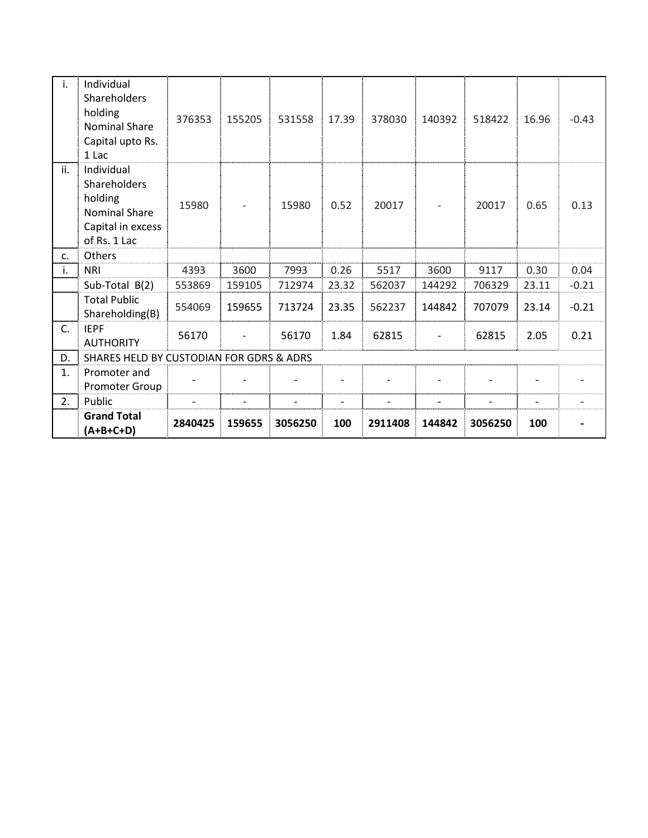| i.  | Individual<br><b>Shareholders</b><br>holding<br><b>Nominal Share</b><br>Capital upto Rs.<br>1 Lac         | 376353  | 155205 | 531558  | 17.39 | 378030  | 140392 | 518422  | 16.96 | $-0.43$ |
|-----|-----------------------------------------------------------------------------------------------------------|---------|--------|---------|-------|---------|--------|---------|-------|---------|
| ii. | Individual<br><b>Shareholders</b><br>holding<br><b>Nominal Share</b><br>Capital in excess<br>of Rs. 1 Lac | 15980   |        | 15980   | 0.52  | 20017   |        | 20017   | 0.65  | 0.13    |
| c.  | <b>Others</b>                                                                                             |         |        |         |       |         |        |         |       |         |
| i.  | <b>NRI</b>                                                                                                | 4393    | 3600   | 7993    | 0.26  | 5517    | 3600   | 9117    | 0.30  | 0.04    |
|     | Sub-Total B(2)                                                                                            | 553869  | 159105 | 712974  | 23.32 | 562037  | 144292 | 706329  | 23.11 | $-0.21$ |
|     | <b>Total Public</b><br>Shareholding(B)                                                                    | 554069  | 159655 | 713724  | 23.35 | 562237  | 144842 | 707079  | 23.14 | $-0.21$ |
| C.  | <b>IEPF</b><br><b>AUTHORITY</b>                                                                           | 56170   |        | 56170   | 1.84  | 62815   |        | 62815   | 2.05  | 0.21    |
| D.  | SHARES HELD BY CUSTODIAN FOR GDRS & ADRS                                                                  |         |        |         |       |         |        |         |       |         |
| 1.  | Promoter and<br>Promoter Group                                                                            |         |        |         |       |         |        |         |       |         |
| 2.  | Public                                                                                                    |         |        |         |       |         |        |         |       |         |
|     | <b>Grand Total</b><br>$(A+B+C+D)$                                                                         | 2840425 | 159655 | 3056250 | 100   | 2911408 | 144842 | 3056250 | 100   |         |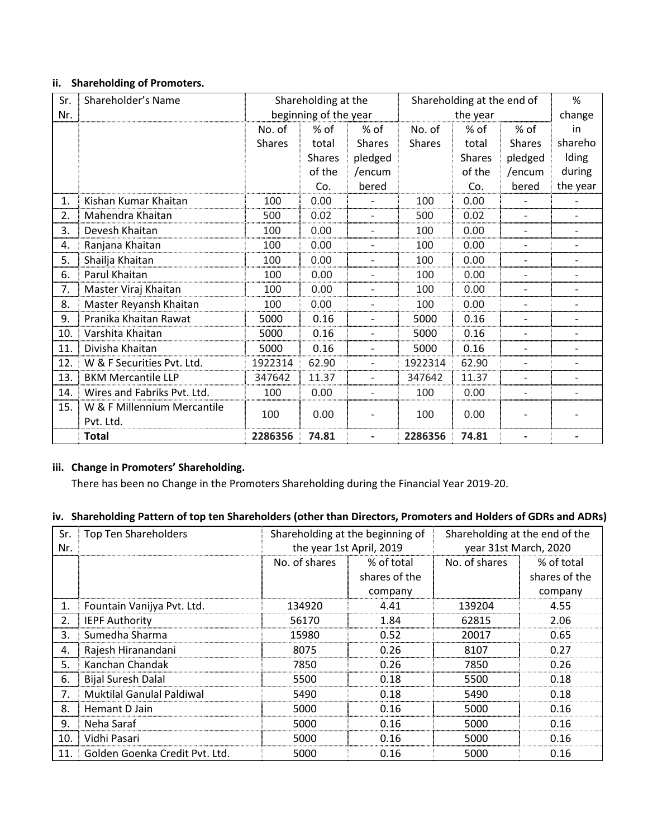# ii. Shareholding of Promoters.

| Sr. | Shareholder's Name          | Shareholding at the |                       |                          | Shareholding at the end of |               |                          | %                        |
|-----|-----------------------------|---------------------|-----------------------|--------------------------|----------------------------|---------------|--------------------------|--------------------------|
| Nr. |                             |                     | beginning of the year |                          | the year                   |               |                          | change                   |
|     |                             | No. of              | % of                  | % of                     | No. of                     | $%$ of        | % of                     | in                       |
|     |                             | <b>Shares</b>       | total                 | <b>Shares</b>            | <b>Shares</b>              | total         | <b>Shares</b>            | shareho                  |
|     |                             |                     | <b>Shares</b>         | pledged                  |                            | <b>Shares</b> | pledged                  | <b>Iding</b>             |
|     |                             |                     | of the                | /encum                   |                            | of the        | /encum                   | during                   |
|     |                             |                     | Co.                   | bered                    |                            | Co.           | bered                    | the year                 |
| 1.  | Kishan Kumar Khaitan        | 100                 | 0.00                  |                          | 100                        | 0.00          |                          |                          |
| 2.  | Mahendra Khaitan            | 500                 | 0.02                  |                          | 500                        | 0.02          |                          |                          |
| 3.  | Devesh Khaitan              | 100                 | 0.00                  | $\overline{\phantom{0}}$ | 100                        | 0.00          | $\overline{\phantom{a}}$ | $\overline{\phantom{0}}$ |
| 4.  | Ranjana Khaitan             | 100                 | 0.00                  | $\overline{a}$           | 100                        | 0.00          | $\overline{\phantom{a}}$ |                          |
| 5.  | Shailja Khaitan             | 100                 | 0.00                  |                          | 100                        | 0.00          | $\overline{\phantom{a}}$ |                          |
| 6.  | Parul Khaitan               | 100                 | 0.00                  |                          | 100                        | 0.00          | $\overline{\phantom{a}}$ |                          |
| 7.  | Master Viraj Khaitan        | 100                 | 0.00                  |                          | 100                        | 0.00          | $\overline{\phantom{a}}$ |                          |
| 8.  | Master Reyansh Khaitan      | 100                 | 0.00                  |                          | 100                        | 0.00          | $\overline{\phantom{a}}$ |                          |
| 9.  | Pranika Khaitan Rawat       | 5000                | 0.16                  |                          | 5000                       | 0.16          | $\blacksquare$           |                          |
| 10. | Varshita Khaitan            | 5000                | 0.16                  |                          | 5000                       | 0.16          | $\overline{\phantom{a}}$ |                          |
| 11. | Divisha Khaitan             | 5000                | 0.16                  |                          | 5000                       | 0.16          | $\overline{\phantom{a}}$ |                          |
| 12. | W & F Securities Pvt. Ltd.  | 1922314             | 62.90                 |                          | 1922314                    | 62.90         | $\overline{\phantom{a}}$ |                          |
| 13. | <b>BKM Mercantile LLP</b>   | 347642              | 11.37                 |                          | 347642                     | 11.37         | $\overline{\phantom{a}}$ |                          |
| 14. | Wires and Fabriks Pvt. Ltd. | 100                 | 0.00                  | $\overline{a}$           | 100                        | 0.00          | $\overline{\phantom{a}}$ | $\overline{\phantom{0}}$ |
| 15. | W & F Millennium Mercantile |                     |                       |                          |                            |               |                          |                          |
|     | Pvt. Ltd.                   | 100                 | 0.00                  |                          | 100                        | 0.00          |                          |                          |
|     | <b>Total</b>                | 2286356             | 74.81                 |                          | 2286356                    | 74.81         |                          |                          |

# iii. Change in Promoters' Shareholding.

There has been no Change in the Promoters Shareholding during the Financial Year 2019-20.

## iv. Shareholding Pattern of top ten Shareholders (other than Directors, Promoters and Holders of GDRs and ADRs)

| Sr.<br>Nr. | <b>Top Ten Shareholders</b>      | Shareholding at the beginning of<br>the year 1st April, 2019 |                                        | Shareholding at the end of the<br>year 31st March, 2020 |                                        |
|------------|----------------------------------|--------------------------------------------------------------|----------------------------------------|---------------------------------------------------------|----------------------------------------|
|            |                                  | No. of shares                                                | % of total<br>shares of the<br>company | No. of shares                                           | % of total<br>shares of the<br>company |
| 1.         | Fountain Vanijya Pvt. Ltd.       | 134920                                                       | 4.41                                   | 139204                                                  | 4.55                                   |
| 2.         | <b>IEPF Authority</b>            | 56170                                                        | 1.84                                   | 62815                                                   | 2.06                                   |
| 3.         | Sumedha Sharma                   | 15980                                                        | 0.52                                   | 20017                                                   | 0.65                                   |
| 4.         | Rajesh Hiranandani               | 8075                                                         | 0.26                                   | 8107                                                    | 0.27                                   |
| 5.         | Kanchan Chandak                  | 7850                                                         | 0.26                                   | 7850                                                    | 0.26                                   |
| 6.         | <b>Bijal Suresh Dalal</b>        | 5500                                                         | 0.18                                   | 5500                                                    | 0.18                                   |
| 7.         | <b>Muktilal Ganulal Paldiwal</b> | 5490                                                         | 0.18                                   | 5490                                                    | 0.18                                   |
| 8.         | Hemant D Jain                    | 5000                                                         | 0.16                                   | 5000                                                    | 0.16                                   |
| 9.         | Neha Saraf                       | 5000                                                         | 0.16                                   | 5000                                                    | 0.16                                   |
| 10.        | Vidhi Pasari                     | 5000                                                         | 0.16                                   | 5000                                                    | 0.16                                   |
| 11.        | Golden Goenka Credit Pyt. Ltd.   | 5000                                                         | 0.16                                   | 5000                                                    | 0.16                                   |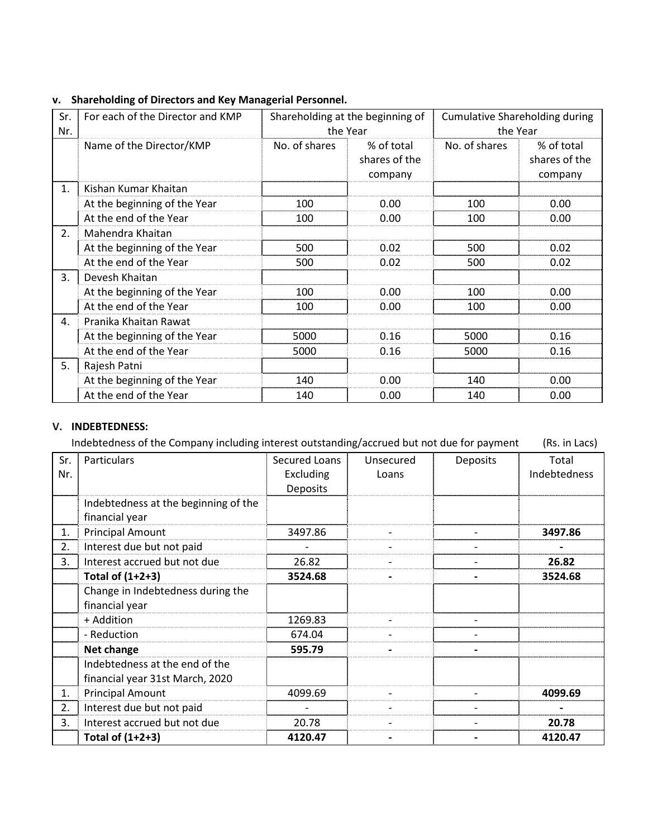# v. Shareholding of Directors and Key Managerial Personnel.

| Sr.<br>Nr.           | For each of the Director and KMP |               | Shareholding at the beginning of<br>the Year |               | <b>Cumulative Shareholding during</b><br>the Year |
|----------------------|----------------------------------|---------------|----------------------------------------------|---------------|---------------------------------------------------|
|                      | Name of the Director/KMP         | No. of shares | % of total<br>shares of the<br>company       | No. of shares | % of total<br>shares of the<br>company            |
| $\mathbf{1}$ .       | Kishan Kumar Khaitan             |               |                                              |               |                                                   |
|                      | At the beginning of the Year     | 100           | 0.00                                         | 100           | 0.00                                              |
|                      | At the end of the Year           | 100           | 0.00                                         | 100           | 0.00                                              |
| 2.                   | Mahendra Khaitan                 |               |                                              |               |                                                   |
|                      | At the beginning of the Year     | 500           | 0.02                                         | 500           | 0.02                                              |
|                      | At the end of the Year           | 500           | 0.02                                         | 500           | 0.02                                              |
| 3.                   | Devesh Khaitan                   |               |                                              |               |                                                   |
|                      | At the beginning of the Year     | 100           | 0.00                                         | 100           | 0.00                                              |
|                      | At the end of the Year           | 100           | 0.00                                         | 100           | 0.00                                              |
| $\mathbf{A}_{\cdot}$ | Pranika Khaitan Rawat            |               |                                              |               |                                                   |
|                      | At the beginning of the Year     | 5000          | 0.16                                         | 5000          | 0.16                                              |
|                      | At the end of the Year           | 5000          | 0.16                                         | 5000          | 0.16                                              |
| 5.                   | Rajesh Patni                     |               |                                              |               |                                                   |
|                      | At the beginning of the Year     | 140           | 0.00                                         | 140           | 0.00                                              |
|                      | At the end of the Year           | 140           | 0.00                                         | 140           | 0.00                                              |

## V. INDEBTEDNESS:

|     | Indebtedness of the Company including interest outstanding/accrued but not due for payment |                 |           |                 |              |  |
|-----|--------------------------------------------------------------------------------------------|-----------------|-----------|-----------------|--------------|--|
| Sr. | Particulars                                                                                | Secured Loans   | Unsecured | <b>Deposits</b> | Total        |  |
| Nr. |                                                                                            | Excluding       | Loans     |                 | Indebtedness |  |
|     |                                                                                            | <b>Deposits</b> |           |                 |              |  |
|     | Indebtedness at the beginning of the<br>financial year                                     |                 |           |                 |              |  |
| 1.  | <b>Principal Amount</b>                                                                    | 3497.86         |           |                 | 3497.86      |  |
| 2.  | Interest due but not paid                                                                  |                 |           |                 |              |  |
| 3.  | Interest accrued but not due                                                               | 26.82           |           |                 | 26.82        |  |
|     | Total of $(1+2+3)$                                                                         | 3524.68         |           |                 | 3524.68      |  |
|     | Change in Indebtedness during the                                                          |                 |           |                 |              |  |
|     | financial year                                                                             |                 |           |                 |              |  |
|     | + Addition                                                                                 | 1269.83         |           |                 |              |  |
|     | - Reduction                                                                                | 674.04          |           |                 |              |  |
|     | Net change                                                                                 | 595.79          |           |                 |              |  |
|     | Indebtedness at the end of the                                                             |                 |           |                 |              |  |
|     | financial year 31st March, 2020                                                            |                 |           |                 |              |  |
| 1.  | <b>Principal Amount</b>                                                                    | 4099.69         |           |                 | 4099.69      |  |
| 2.  | Interest due but not paid                                                                  |                 |           |                 |              |  |
| 3.  | Interest accrued but not due                                                               | 20.78           |           |                 | 20.78        |  |
|     | Total of $(1+2+3)$                                                                         | 4120.47         |           |                 | 4120.47      |  |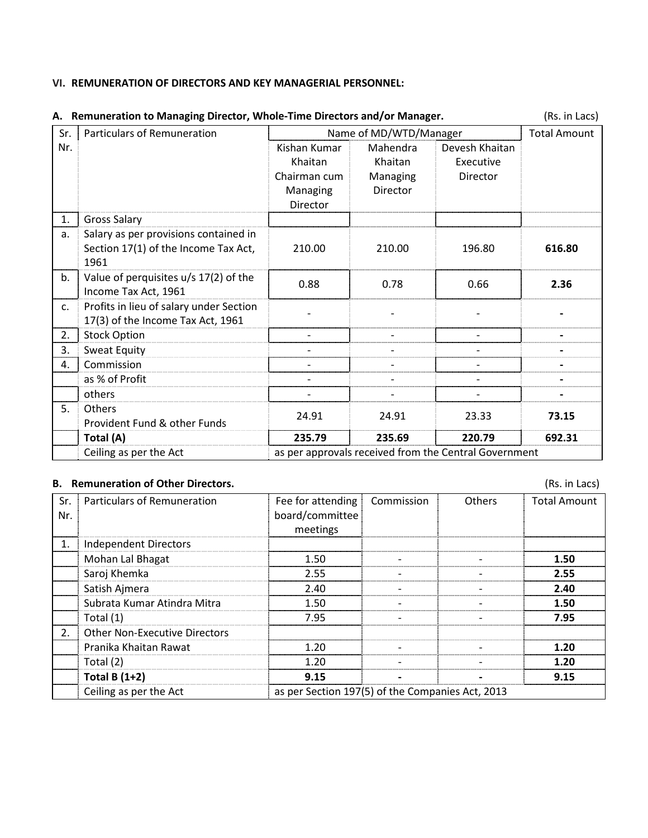#### VI. REMUNERATION OF DIRECTORS AND KEY MANAGERIAL PERSONNEL:

| Sr.            | Particulars of Remuneration             |              | Name of MD/WTD/Manager                                |                |        |  |  |  |  |
|----------------|-----------------------------------------|--------------|-------------------------------------------------------|----------------|--------|--|--|--|--|
| Nr.            |                                         | Kishan Kumar | Mahendra                                              | Devesh Khaitan |        |  |  |  |  |
|                |                                         | Khaitan      | Khaitan                                               | Executive      |        |  |  |  |  |
|                |                                         | Chairman cum | Managing                                              | Director       |        |  |  |  |  |
|                |                                         | Managing     | Director                                              |                |        |  |  |  |  |
|                |                                         | Director     |                                                       |                |        |  |  |  |  |
| 1.             | <b>Gross Salary</b>                     |              |                                                       |                |        |  |  |  |  |
| a.             | Salary as per provisions contained in   |              |                                                       |                |        |  |  |  |  |
|                | Section 17(1) of the Income Tax Act,    | 210.00       | 210.00                                                | 196.80         | 616.80 |  |  |  |  |
|                | 1961                                    |              |                                                       |                |        |  |  |  |  |
| b <sub>1</sub> | Value of perquisites u/s 17(2) of the   | 0.88         | 0.78                                                  | 0.66           | 2.36   |  |  |  |  |
|                | Income Tax Act, 1961                    |              |                                                       |                |        |  |  |  |  |
| $\mathsf{C}$ . | Profits in lieu of salary under Section |              |                                                       |                |        |  |  |  |  |
|                | 17(3) of the Income Tax Act, 1961       |              |                                                       |                |        |  |  |  |  |
| 2.             | <b>Stock Option</b>                     |              |                                                       |                |        |  |  |  |  |
| 3.             | Sweat Equity                            |              |                                                       |                |        |  |  |  |  |
| 4.             | Commission                              |              |                                                       |                |        |  |  |  |  |
|                | as % of Profit                          |              |                                                       |                |        |  |  |  |  |
|                | others                                  |              |                                                       |                |        |  |  |  |  |
| 5.             | <b>Others</b>                           | 24.91        | 24.91                                                 | 23.33          | 73.15  |  |  |  |  |
|                | Provident Fund & other Funds            |              |                                                       |                |        |  |  |  |  |
|                | Total (A)                               | 235.79       | 235.69                                                | 220.79         | 692.31 |  |  |  |  |
|                | Ceiling as per the Act                  |              | as per approvals received from the Central Government |                |        |  |  |  |  |

## A. Remuneration to Managing Director, Whole-Time Directors and/or Manager. (Rs. in Lacs)

### B. Remuneration of Other Directors. (Rs. in Lacs)

Sr. Particulars of Remuneration Fee for attending Nr. board/committee meetings Commission Others Total Amount 1. | Independent Directors Mohan Lal Bhagat 1.50 1.50 1.50 1.50 Saroj Khemka 2.55 - - 2.55 Satish Ajmera 2.40 2.40 2.40 2.40 2.40 2.40 Subrata Kumar Atindra Mitra 1.50 1.50  $\vert$  -  $\vert$  - 1.50 Total (1)  $\qquad \qquad \qquad$  7.95  $\qquad \qquad$  7.95  $\qquad \qquad$  7.95 2. Other Non-Executive Directors Pranika Khaitan Rawat 1.20 - - 1.20 Total (2)  $1.20$   $1.20$   $1.20$   $1.20$ Total B (1+2) 9.15 - 9.15 Ceiling as per the Act as per Section 197(5) of the Companies Act, 2013